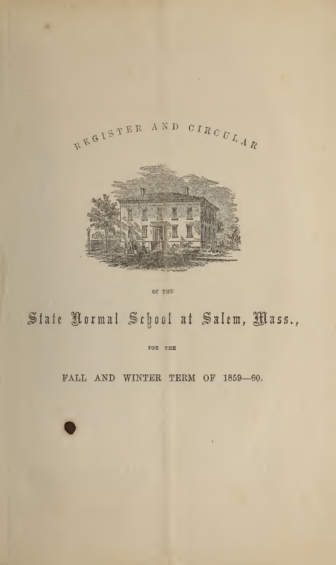

OF THE

# State Rormal School at Salem, Mass.,

FOR THE

FALL AND WINTER TERM OF 1859-60.

 $\bar{\mathbf{r}}$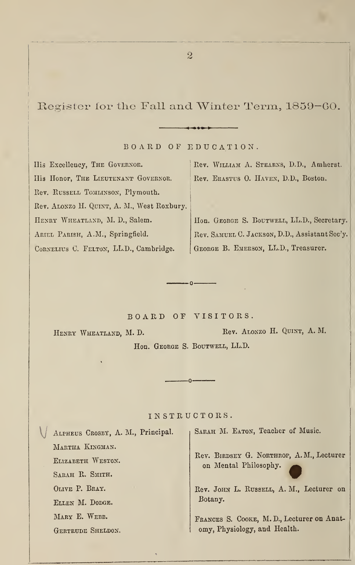Register for the Fall and Winter Term, 1859-60.

BOARD OF EDUCATION.

«« — «»• »»

His Excellency, THE GOVERNOR. His Honor, THE LIEUTENANT GOVERNOR. Rev. RUSSELL TOMLINSON, Plymouth. Rev. Alonzo H. Quint, A. M., West Roxbury, HENRY WHEATLAND, M. D., Salem. Ariel Parish, A.M., Springfield. CORNELIUS C. FELTON, LL.D., Cambridge.

Rev. William A. Stearns, D.D., Amherst. Rev. Erastus 0. Haven, D.D., Boston.

Hon. GEORGE S. BOUTWELL, LL.D., Secretary. Rev. Samuel C. Jackson, D.D., Assistant Sec'y. George B. Emerson, LL.D., Treasurer.

BOARD OF VISITORS.

 $-0-$ 

HENRY WHEATLAND, M. D. Rev. ALONZO H. QUINT, A. M. Hon. GEORGE S. BOUTWELL, LL.D.

IN STRUCTORS.

 $\cdot$ O

\j Alpheus Crosby, A. M., Principal. Martha Kingman. Elizabeth Weston. Sarah R. Smith. Olive P. Bray. Ellen M. Dodge. MARY E. WEBB. Gertrude Sheldon.

SARAH M. EATON, Teacher of Music.

Rev. Birdsey G. Northrop, A. M., Lecturer on Mental Philosophy.

Rev. JOHN L. RUSSELL, A. M., Lecturer on Botany.

Frances S. Cooke, M. D., Lecturer on Anatomy, Physiology, and Health.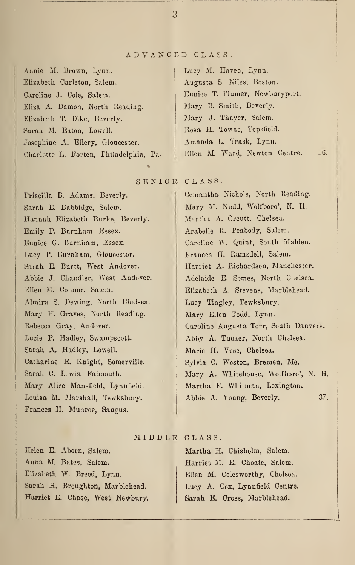## ADVANCED CLASS.

Annie M, Brown, Lynn. | Lucy M. Haven, Lynn. Elizabeth Carleton, Salem. Augusta S. Niles, Boston. Caroline J. Cole, Salem. **Eunice T. Plumer, Newburyport.** Eliza A. Damon, North Reading. Mary B. Smith, Beverly. Elizabeth T. Dike, Beverly. Mary J. Thayer, Salem. Sarah M. Eaton, Lowell. Rosa H. Towne, Topsfield. Josephine A. Ellery, Gloucester. | Amanda L. Trask, Lynn. Charlotte L. Forten, Philadelphia, Pa. Ellen M. Ward, Newton Centre. 1G.

# SENIOR CLASS.

Priscilla B. Adams, Beverly. 1 Cemantha Nichols, North Reading. Sarah E. Babbidge, Salem. Mary M. Nudd, Wolfboro', N. H. Hannah Elizabeth Burke, Beverly. | Martha A. Orcutt, Chelsea. Emily P. Burnham, Essex. Arabelle R. Peabody, Salem. Eunice G. Burnham, Essex. Caroline W. Quint, South Malden. Lucy P. Burnham, Gloucester. Frances H. Ramsdell, Salem. Ellen M. Connor, Salem. Elizabeth A. Stevens, Marblehead. Almira S. Dewing, North Chelsea. Lucy Tingley, Tewksbury. Mary H. Graves, North Reading. Mary Ellen Todd, Lynn. Lucie P. Hadley, Swampscott. Abby A. Tucker, North Chelsea. Sarah A. Hadley, Lowell. Marie H. Vose, Chelsea. Catharine E. Knight, Somerville. | Sylvia C. Weston, Bremen, Me. Mary Alice Mansfield, Lynnfield. | Martha F. Whitman, Lexington. Frances H. Munroe, Saugus.

# Sarah E. Burtt, West Andover. | Harriet A. Richardson, Manchester. Abbie J. Chandler, West Audover. Adelaide E. Somes, North Chelsea. Rebecca Gray, Andover. Caroline Augusta Torr, South Danvers. Sarah C. Lewis, Falmouth. Mary A. Whitehouse, Wolfboro', N. H. Louisa M. Marshall, Tewksbury. Abbie A. Young, Beverly. 37.

### MIDDLE, CLASS.

Helen E. Aborn, Salem. (a) Martha H. Chisholm, Salem. Anna M. Bates, Salem. | Harriet M. E. Choate, Salem. Elizabeth W. Breed, Lynn. | Ellen M. Colesworthy, Chelsea. Sarah H. Broughton, Marblehead. | Lucy A. Cox, Lynnfield Centre. Harriet E. Chase, West Newbury. | Sarah E. Cross, Marblehead.

3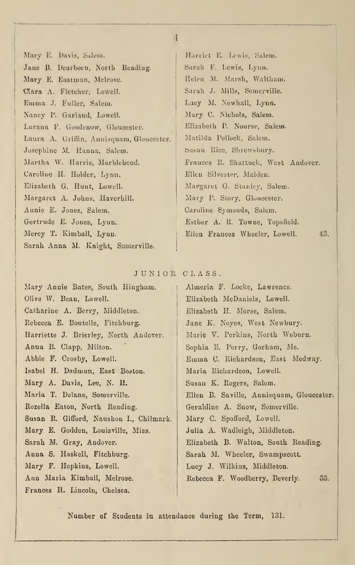Mary E. Davis, Salem. | Harriet E. Lewis, Salem. Jane B. Dearborn, North Reading. | Sarah F. Lewis, Lynn. Mary E. Eastman, Melrose. | Helen M. Marsh, Waltham, Ctara A. Fletcher, Lowell, Sarah J. Mills, Somerville. Emma J. Fuller, Salem, Lucy M. Newhall, Lynn. Nancy P. Garland, Lowell, Mary C. Nichols, Salem. Lurana P. Goodenow, Gloucester. Elizabeth P, Nourse, Salem. Laura A, Griffin, Annisquam, Gloucester. | Matilda Pollock, Salem. Josephine M. Hanna, Salem. Susau Rice, Shrewsbury, Martha W. Harris, Marblehead. Frances R. Shattuck, West Andover. Caroline H. Holder, Lynn. | Ellen Silvester, Malden. Elizabeth G. Hunt, Lowell. | Margaret G. Stanley, Salem. Margaret A. Johns, Haverhill. Mary P. Story, Gloucester. Annie E. Jones, Salem. Caroline Symonds, Salem. Gertrude E. Jones, Lynn. Esther A. R. Towne, Topsfield. Mercy T. Kimball, Lyun. 13. Ellen Frances Wheeler, Lowell. 43. Sarah Anna M. Knight, Somerville.

### JUNIOR CLASS.

Mary Annie Bates, South Hingham. | Almeria F. Locke, Lawrence. Olive W. Bean, Lowell. Elizabeth McDauiels, Lowell. Catharine A. Berry, Middleton. Elizabeth H. Morse, Salem. Rebecca E. Boutelle, Fitchburg. Jane K. Noyes, West Newbury. Harriette J. Brierley, North Andover. | Marie V. Perkins, North Woburn. Anna B. Clapp, Milton. Sophia E. Perry, Gorham, Me. Abbie F. Crosby, Lowell. Emma C. Richardson, East Medway. Isabel H, Dadmun, East Boston, Maria Richardson, Lowell. Mary A. Davis, Lee, N. H. Susan K. Rogers, Salem. Rozella Eaton, North Reading. | Geraldine A. Snow, Somerville. Susan R. Gifford, Naushon I., Chilmark. | Mary C. Spofford, Lowell. Mary E. Godden, Louisville, Miss. | Julia A. Wadleigh, Middleton. Sarah M. Gray, Andover. Elizabeth B. Walton, South Reading. Anna S. Haskell, Fitchburg. | Sarah M. Wheeler, Swampscott. Mary F. Hopkins, Lowell. | Lucy J. Wilkins, Middleton. Ann Maria Kimball, Melrose. Rebecca F. Woodberry, Beverly. 35. Frances H. Lincoln, Chelsea.

Maria T. Delano, Somerville. Ellen B. Saville, Annisquam, Gloucester.

Number of Students in attendance during the Term, 131.

4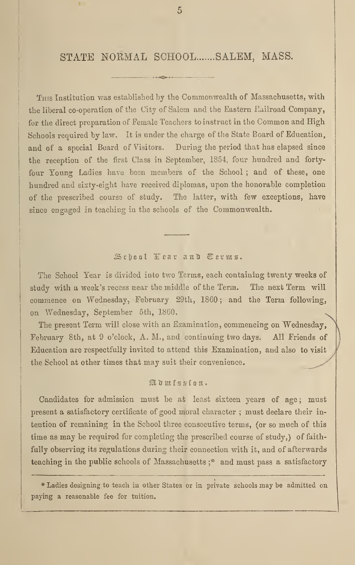# STATE NORMAL SCHOOL ...... SALEM, MASS.

This Institution was established by the Commonwealth of Massachusetts, with the liberal co-operation of the City of Salem and the Eastern Eailroad Company, for the direct preparation of Female Teachers to instruct in the Common and High Schools required by law. It is under the charge of the State Board of Education, and of a special Board of Visitors. During the period that has elapsed since the reception of the first Class in September, 1854, four hundred and fortyfour Young Ladies have been members of the School ; and of these, one hundred and sixty-eight have received diplomas, upon the honorable completion of the prescribed course of study. The latter, with few exceptions, have since engaged in teaching in the schools of the Commonwealth.

# Sehool Fear and Terms.

The School Year is divided into two Terms, each containing twenty weeks of study with a week's recess near the middle of the Term. The next Term will commence on Wednesday, February 29th, I860 ; and the Term following, on Wednesday, September 5th, 1860.

The present Term will close with an Examination, commencing on Wednesday, February 8th, at 9 o'clock, A. M., and continuing two days. All Friends of Education are respectfully invited to attend this Examination, and also to visit the School at other times that may suit their convenience.

# itimtssion.

Candidates for admission must be at least sixteen years of age; must present a satisfactory certificate of good moral character ; must declare their intention of remaining in the School three consecutive terms, (or so much of this time as may be required for completing the prescribed course of study,) of faithfully observing its regulations during their connection with it, and of afterwards teaching in the public schools of Massachusetts ;\* and must pass a satisfactory

\* Ladies designing to teach in other States or in private schools may be admitted on paying a reasonable fee for tuition.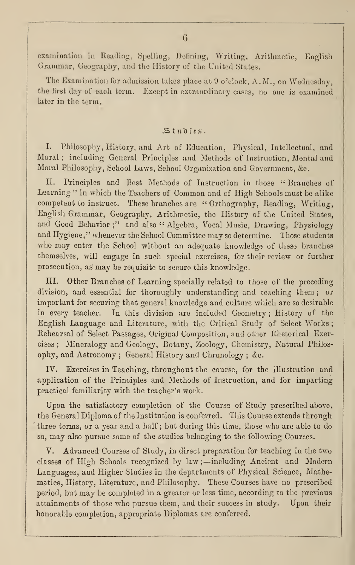examination in Reading, Spelling, Defining, Writing, Arithmetic, English Grammar, Geography, and the History of the United States.

The Examination for admission takes place at <sup>9</sup> o'clock, A.M., on Wednesday, the first day of each term. Except in extraordinary cases, no one is examined later in the term.

# Studies.

I. Philosophy, History, and Art of Education, Physical, Intellectual, and Moral ; including General Principles and Methods of Instruction, Mental and Moral Philosophy, School Laws, School Organization and Government, &c.

II. Principles and Best Methods of Instruction in those "Branches of Learning " in which the Teachers of Common and of High Schools must be alike competent to instruct. These branches are "Orthography, Reading, Writing, English Grammar, Geography, Arithmetic, the History of the United States, and Good Behavior;" and also " Algebra, Vocal Music, Drawing, Physiology and Hygiene," whenever the School Committee may so determine. Those students who may enter the School without an adequate knowledge of these branches themselves, will engage in such special exercises, for their review or further prosecution, as may be requisite to secure this knowledge.

III. Other Branches of Learning specially related to those of the preceding division, and essential for thoroughly understanding and teaching them ; or important for securing that general knowledge and culture which are so desirable in every teacher. In this division are included Geometry ; History of the English Language and Literature, with the Critical Study of Select Works Rehearsal of Select Passages, Original Composition, and other Rhetorical Exercises ; Mineralogy and Geology, Botany, Zoology, Chemistry, Natural Philosophy, and Astronomy ; General History and Chronology ; &c.

IV. Exercises in Teaching, throughout the course, for the illustration and application of the Principles and Methods of Instruction, and for imparting practical familiarity with the teacher's work.

Upon the satisfactory completion of the Course of Study prescribed above, the General Diploma of the Institution is conferred. This Course extends through three terms, or a year and a half; but during this time, those who are able to do so, may also pursue some of the studies belonging to the following Courses.

V. Advanced Courses of Study, in direct preparation for teaching in the two classes of High Schools recognized by law; —including Ancient and. Modern Languages, and Higher Studies in the departments of Physical Science, Mathematics, History, Literature, and Philosophy. These Courses have no prescribed period, but may be completed in a greater or less time, according to the previous attainments of those who pursue them, and their success in study. Upon their honorable completion, appropriate Diplomas are conferred.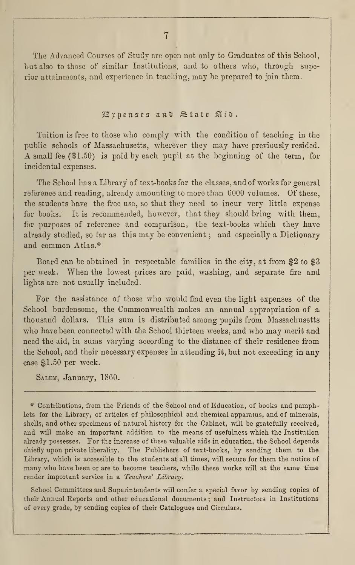The Advanced Courses of Study are open not only to Graduates of this School, but also to those of similar Institutions, and to others who, through superior attainments, and experience in teaching, may be prepared to join them.

# 22):pettses anti State StfU.

Tuition is free to those who comply with the condition of teaching in the public schools of Massachusetts, wherever they may have previously resided. A small fee (\$1.50) is paid by each pupil at the beginning of the term, for incidental expenses.

The School has a Library of text-books for the classes, and of works for general reference and reading, already amounting to more than 6000 volumes. Of these, the students have the free use, so that they need to incur very little expense for books. It is recommended, however, that they should bring with them, for purposes of reference and comparison, the text-books which they have already studied, so far as this may be convenient ; and especially a Dictionary and common Atlas.\*

Board can be obtained in respectable families in the city, at from \$2 to \$3 per week. When the lowest prices are paid, washing, and separate fire and lights are not usually included,

For the assistance of those who would find even the light expenses of the School burdensome, the Commonwealth makes an annual appropriation of a thousand dollars. This sum is distributed among pupils from Massachusetts who have been connected with the School thirteen weeks, and who may merit and need the aid, in sums varying according to the distance of their residence from the School, and their necessary expenses in attending it, but not exceeding in any case \$1.50 per week.

SALEM, January, 1860.

\* Contributions, from the Friends of the School and of Education, of books and pamphlets for the Library, of articles of philosophical and chemical apparatus, and of minerals, shells, and other specimens of natural history for the Cabinet, will be gratefully received, and will make an important addition to the means of usefulness which the Institution already possesses. For the increase of these valuable aids in education, the School depends chiefly upon private liberality. The Publishers of text-books, by sending them to the Library, which is accessible to the students at all times, will secure for them the notice of many who have been or are to become teachers, while these works will at the same time render important service in a Teachers' Library.

School Committees and Superintendents will confer a special favor by sending copies of their Annual Reports and other educational documents ; and Instructors in Institutions of every grade, by sending copies of their Catalogues and Circulars.